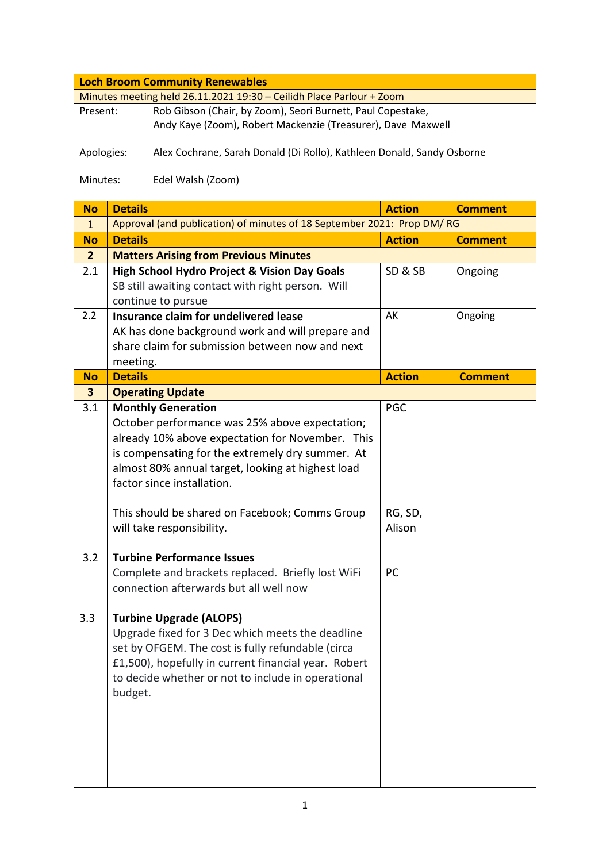| <b>Loch Broom Community Renewables</b>                                               |                                                                        |               |                |  |  |
|--------------------------------------------------------------------------------------|------------------------------------------------------------------------|---------------|----------------|--|--|
| Minutes meeting held 26.11.2021 19:30 - Ceilidh Place Parlour + Zoom                 |                                                                        |               |                |  |  |
| Present:                                                                             | Rob Gibson (Chair, by Zoom), Seori Burnett, Paul Copestake,            |               |                |  |  |
|                                                                                      | Andy Kaye (Zoom), Robert Mackenzie (Treasurer), Dave Maxwell           |               |                |  |  |
|                                                                                      |                                                                        |               |                |  |  |
| Apologies:<br>Alex Cochrane, Sarah Donald (Di Rollo), Kathleen Donald, Sandy Osborne |                                                                        |               |                |  |  |
| Minutes:<br>Edel Walsh (Zoom)                                                        |                                                                        |               |                |  |  |
|                                                                                      |                                                                        |               |                |  |  |
| <b>No</b>                                                                            | <b>Details</b>                                                         | <b>Action</b> | <b>Comment</b> |  |  |
| $\mathbf{1}$                                                                         | Approval (and publication) of minutes of 18 September 2021: Prop DM/RG |               |                |  |  |
| <b>No</b>                                                                            | <b>Details</b>                                                         | <b>Action</b> | <b>Comment</b> |  |  |
| $\overline{2}$                                                                       | <b>Matters Arising from Previous Minutes</b>                           |               |                |  |  |
| 2.1                                                                                  | <b>High School Hydro Project &amp; Vision Day Goals</b>                | SD&SB         | Ongoing        |  |  |
|                                                                                      | SB still awaiting contact with right person. Will                      |               |                |  |  |
|                                                                                      | continue to pursue                                                     |               |                |  |  |
| 2.2                                                                                  | Insurance claim for undelivered lease                                  | AK            | Ongoing        |  |  |
|                                                                                      | AK has done background work and will prepare and                       |               |                |  |  |
|                                                                                      | share claim for submission between now and next                        |               |                |  |  |
|                                                                                      | meeting.                                                               |               |                |  |  |
| <b>No</b>                                                                            | <b>Details</b>                                                         | <b>Action</b> | <b>Comment</b> |  |  |
| 3                                                                                    | <b>Operating Update</b>                                                |               |                |  |  |
| 3.1                                                                                  | <b>Monthly Generation</b>                                              | PGC           |                |  |  |
|                                                                                      | October performance was 25% above expectation;                         |               |                |  |  |
|                                                                                      | already 10% above expectation for November. This                       |               |                |  |  |
|                                                                                      | is compensating for the extremely dry summer. At                       |               |                |  |  |
|                                                                                      | almost 80% annual target, looking at highest load                      |               |                |  |  |
|                                                                                      | factor since installation.                                             |               |                |  |  |
|                                                                                      |                                                                        |               |                |  |  |
|                                                                                      | This should be shared on Facebook; Comms Group                         | RG, SD,       |                |  |  |
|                                                                                      | will take responsibility.                                              | Alison        |                |  |  |
|                                                                                      |                                                                        |               |                |  |  |
| 3.2                                                                                  | <b>Turbine Performance Issues</b>                                      |               |                |  |  |
|                                                                                      | Complete and brackets replaced. Briefly lost WiFi                      | PC            |                |  |  |
|                                                                                      | connection afterwards but all well now                                 |               |                |  |  |
|                                                                                      |                                                                        |               |                |  |  |
| 3.3                                                                                  | <b>Turbine Upgrade (ALOPS)</b>                                         |               |                |  |  |
|                                                                                      | Upgrade fixed for 3 Dec which meets the deadline                       |               |                |  |  |
|                                                                                      | set by OFGEM. The cost is fully refundable (circa                      |               |                |  |  |
|                                                                                      | £1,500), hopefully in current financial year. Robert                   |               |                |  |  |
|                                                                                      | to decide whether or not to include in operational                     |               |                |  |  |
|                                                                                      | budget.                                                                |               |                |  |  |
|                                                                                      |                                                                        |               |                |  |  |
|                                                                                      |                                                                        |               |                |  |  |
|                                                                                      |                                                                        |               |                |  |  |
|                                                                                      |                                                                        |               |                |  |  |
|                                                                                      |                                                                        |               |                |  |  |
|                                                                                      |                                                                        |               |                |  |  |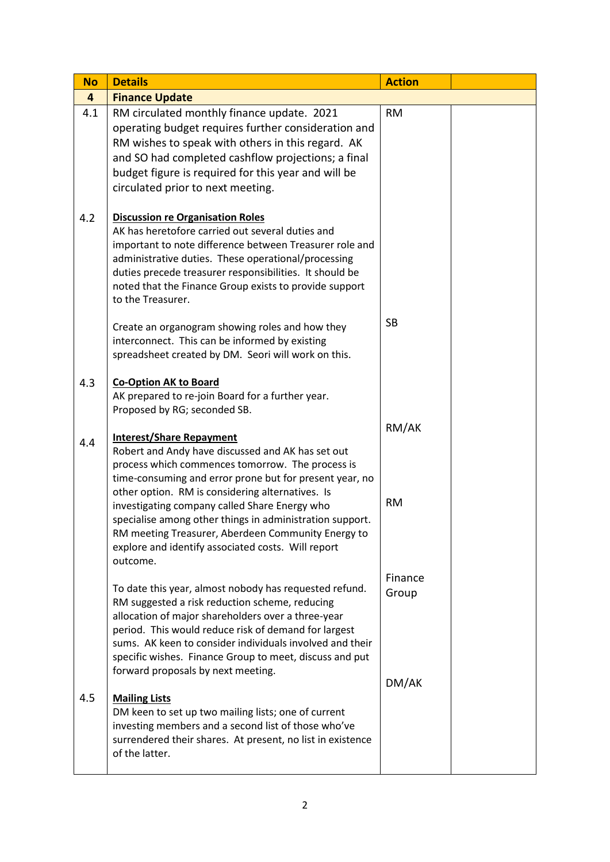| <b>No</b> | <b>Details</b>                                                                                                                                                                                                                                                                                                                                                                      | <b>Action</b>    |  |
|-----------|-------------------------------------------------------------------------------------------------------------------------------------------------------------------------------------------------------------------------------------------------------------------------------------------------------------------------------------------------------------------------------------|------------------|--|
| 4         | <b>Finance Update</b>                                                                                                                                                                                                                                                                                                                                                               |                  |  |
| 4.1       | RM circulated monthly finance update. 2021<br>operating budget requires further consideration and<br>RM wishes to speak with others in this regard. AK<br>and SO had completed cashflow projections; a final<br>budget figure is required for this year and will be<br>circulated prior to next meeting.                                                                            | <b>RM</b>        |  |
| 4.2       | <b>Discussion re Organisation Roles</b><br>AK has heretofore carried out several duties and<br>important to note difference between Treasurer role and<br>administrative duties. These operational/processing<br>duties precede treasurer responsibilities. It should be<br>noted that the Finance Group exists to provide support<br>to the Treasurer.                             |                  |  |
|           | Create an organogram showing roles and how they<br>interconnect. This can be informed by existing<br>spreadsheet created by DM. Seori will work on this.                                                                                                                                                                                                                            | <b>SB</b>        |  |
| 4.3       | <b>Co-Option AK to Board</b><br>AK prepared to re-join Board for a further year.<br>Proposed by RG; seconded SB.                                                                                                                                                                                                                                                                    |                  |  |
| 4.4       | <b>Interest/Share Repayment</b><br>Robert and Andy have discussed and AK has set out<br>process which commences tomorrow. The process is<br>time-consuming and error prone but for present year, no<br>other option. RM is considering alternatives. Is                                                                                                                             | RM/AK            |  |
|           | investigating company called Share Energy who<br>specialise among other things in administration support.<br>RM meeting Treasurer, Aberdeen Community Energy to<br>explore and identify associated costs. Will report<br>outcome.                                                                                                                                                   | <b>RM</b>        |  |
|           | To date this year, almost nobody has requested refund.<br>RM suggested a risk reduction scheme, reducing<br>allocation of major shareholders over a three-year<br>period. This would reduce risk of demand for largest<br>sums. AK keen to consider individuals involved and their<br>specific wishes. Finance Group to meet, discuss and put<br>forward proposals by next meeting. | Finance<br>Group |  |
| 4.5       | <b>Mailing Lists</b><br>DM keen to set up two mailing lists; one of current<br>investing members and a second list of those who've<br>surrendered their shares. At present, no list in existence<br>of the latter.                                                                                                                                                                  | DM/AK            |  |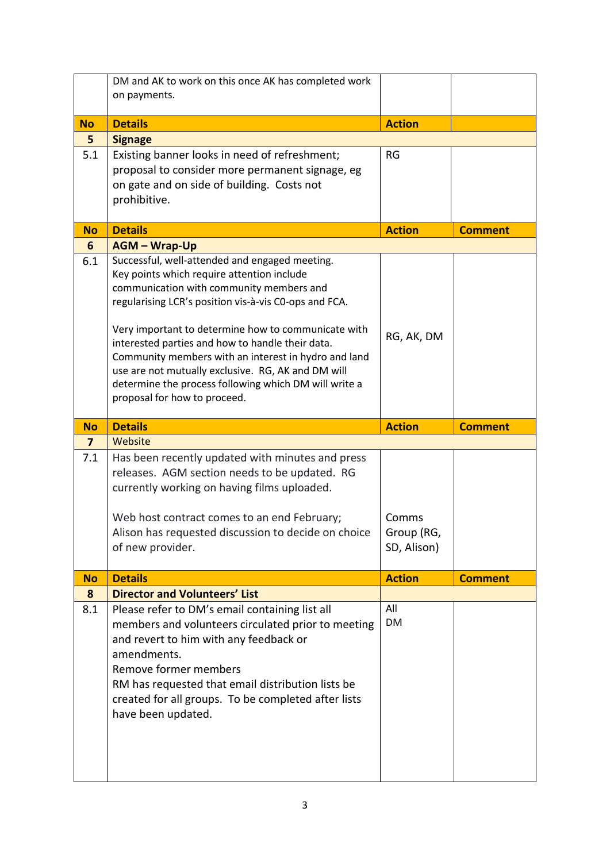| on payments.<br><b>Details</b><br><b>Action</b><br><b>No</b><br>5<br><b>Signage</b><br>5.1<br>Existing banner looks in need of refreshment;<br><b>RG</b><br>proposal to consider more permanent signage, eg<br>on gate and on side of building. Costs not<br>prohibitive. |
|---------------------------------------------------------------------------------------------------------------------------------------------------------------------------------------------------------------------------------------------------------------------------|
|                                                                                                                                                                                                                                                                           |
|                                                                                                                                                                                                                                                                           |
|                                                                                                                                                                                                                                                                           |
|                                                                                                                                                                                                                                                                           |
|                                                                                                                                                                                                                                                                           |
|                                                                                                                                                                                                                                                                           |
|                                                                                                                                                                                                                                                                           |
| <b>Details</b><br><b>Action</b><br><b>Comment</b><br><b>No</b>                                                                                                                                                                                                            |
| 6<br><b>AGM - Wrap-Up</b>                                                                                                                                                                                                                                                 |
| Successful, well-attended and engaged meeting.<br>6.1                                                                                                                                                                                                                     |
| Key points which require attention include                                                                                                                                                                                                                                |
| communication with community members and                                                                                                                                                                                                                                  |
| regularising LCR's position vis-à-vis CO-ops and FCA.                                                                                                                                                                                                                     |
| Very important to determine how to communicate with                                                                                                                                                                                                                       |
| RG, AK, DM<br>interested parties and how to handle their data.                                                                                                                                                                                                            |
| Community members with an interest in hydro and land                                                                                                                                                                                                                      |
| use are not mutually exclusive. RG, AK and DM will                                                                                                                                                                                                                        |
| determine the process following which DM will write a<br>proposal for how to proceed.                                                                                                                                                                                     |
|                                                                                                                                                                                                                                                                           |
| <b>Details</b><br><b>Action</b><br><b>No</b><br><b>Comment</b>                                                                                                                                                                                                            |
| Website<br>7                                                                                                                                                                                                                                                              |
| 7.1<br>Has been recently updated with minutes and press                                                                                                                                                                                                                   |
| releases. AGM section needs to be updated. RG                                                                                                                                                                                                                             |
| currently working on having films uploaded.                                                                                                                                                                                                                               |
|                                                                                                                                                                                                                                                                           |
|                                                                                                                                                                                                                                                                           |
| Web host contract comes to an end February;<br>Comms                                                                                                                                                                                                                      |
| Alison has requested discussion to decide on choice<br>Group (RG,<br>SD, Alison)<br>of new provider.                                                                                                                                                                      |
|                                                                                                                                                                                                                                                                           |
| <b>Details</b><br><b>Action</b><br><b>No</b><br><b>Comment</b>                                                                                                                                                                                                            |
| <b>Director and Volunteers' List</b><br>8                                                                                                                                                                                                                                 |
| All<br>8.1<br>Please refer to DM's email containing list all                                                                                                                                                                                                              |
| DM<br>members and volunteers circulated prior to meeting                                                                                                                                                                                                                  |
| and revert to him with any feedback or                                                                                                                                                                                                                                    |
| amendments.<br>Remove former members                                                                                                                                                                                                                                      |
| RM has requested that email distribution lists be                                                                                                                                                                                                                         |
| created for all groups. To be completed after lists                                                                                                                                                                                                                       |
| have been updated.                                                                                                                                                                                                                                                        |
|                                                                                                                                                                                                                                                                           |
|                                                                                                                                                                                                                                                                           |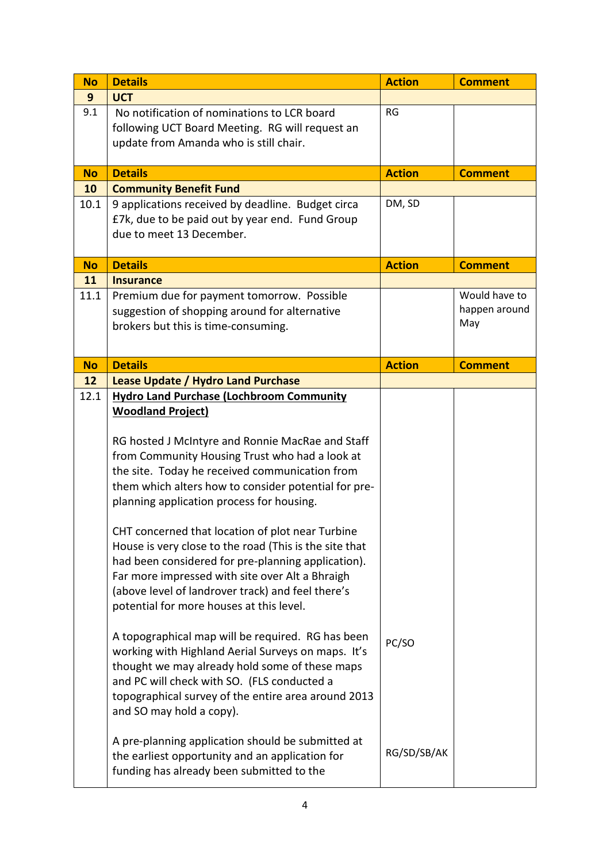| <b>No</b> | <b>Details</b>                                                                                       | <b>Action</b> | <b>Comment</b> |
|-----------|------------------------------------------------------------------------------------------------------|---------------|----------------|
| 9         | <b>UCT</b>                                                                                           |               |                |
| 9.1       | No notification of nominations to LCR board                                                          | <b>RG</b>     |                |
|           | following UCT Board Meeting. RG will request an                                                      |               |                |
|           | update from Amanda who is still chair.                                                               |               |                |
|           |                                                                                                      |               |                |
| <b>No</b> | <b>Details</b>                                                                                       | <b>Action</b> | <b>Comment</b> |
| 10        | <b>Community Benefit Fund</b>                                                                        | DM, SD        |                |
| 10.1      | 9 applications received by deadline. Budget circa<br>£7k, due to be paid out by year end. Fund Group |               |                |
|           | due to meet 13 December.                                                                             |               |                |
|           |                                                                                                      |               |                |
| <b>No</b> | <b>Details</b>                                                                                       | <b>Action</b> | <b>Comment</b> |
| 11        | <b>Insurance</b>                                                                                     |               |                |
| 11.1      | Premium due for payment tomorrow. Possible                                                           |               | Would have to  |
|           | suggestion of shopping around for alternative                                                        |               | happen around  |
|           | brokers but this is time-consuming.                                                                  |               | May            |
|           |                                                                                                      |               |                |
| <b>No</b> | <b>Details</b>                                                                                       | <b>Action</b> | <b>Comment</b> |
| 12        | <b>Lease Update / Hydro Land Purchase</b>                                                            |               |                |
| 12.1      | <b>Hydro Land Purchase (Lochbroom Community</b>                                                      |               |                |
|           | <b>Woodland Project)</b>                                                                             |               |                |
|           |                                                                                                      |               |                |
|           | RG hosted J McIntyre and Ronnie MacRae and Staff                                                     |               |                |
|           | from Community Housing Trust who had a look at                                                       |               |                |
|           | the site. Today he received communication from                                                       |               |                |
|           | them which alters how to consider potential for pre-                                                 |               |                |
|           | planning application process for housing.                                                            |               |                |
|           | CHT concerned that location of plot near Turbine                                                     |               |                |
|           | House is very close to the road (This is the site that                                               |               |                |
|           | had been considered for pre-planning application).                                                   |               |                |
|           | Far more impressed with site over Alt a Bhraigh                                                      |               |                |
|           | (above level of landrover track) and feel there's                                                    |               |                |
|           | potential for more houses at this level.                                                             |               |                |
|           |                                                                                                      |               |                |
|           | A topographical map will be required. RG has been                                                    | PC/SO         |                |
|           | working with Highland Aerial Surveys on maps. It's                                                   |               |                |
|           | thought we may already hold some of these maps                                                       |               |                |
|           | and PC will check with SO. (FLS conducted a                                                          |               |                |
|           | topographical survey of the entire area around 2013                                                  |               |                |
|           | and SO may hold a copy).                                                                             |               |                |
|           | A pre-planning application should be submitted at                                                    |               |                |
|           | the earliest opportunity and an application for                                                      | RG/SD/SB/AK   |                |
|           | funding has already been submitted to the                                                            |               |                |
|           |                                                                                                      |               |                |